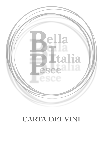

# **CARTA DEI VINI**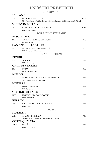### **I NOSTRI PREFERITI**

**CHAMPAGNE**

| <b>TARLANT</b> |                                                                                 |               |
|----------------|---------------------------------------------------------------------------------|---------------|
| S.A            | ROSÉ ZERO BRUT NATURE                                                           | 1306          |
|                | 36% Pinot Nero, 50% Chardonnay, vinificato in rosso: 8% Pinot nero e 6% Meunier |               |
|                | <b>VALENTIN LEFLAIVE</b>                                                        |               |
| S.A            | <b>EXTRA BRUT BLANC DE BLANCS</b>                                               | 1056          |
|                | 100 % Chardonnay                                                                |               |
|                | <b>BOLLICINE ITALIANE</b>                                                       |               |
|                | <b>FASOLI GINO</b>                                                              |               |
| 2012           | CREAMAN BIANCO PAS DOSÉ                                                         | 456           |
|                | 100% Garganega                                                                  |               |
|                | <b>CANTINA DELLA VOLTA</b>                                                      |               |
| S.A            | LAMBRUSCO DI MODENA ROSÉ                                                        | 486           |
|                | 100% Lambrusco di Sorbara                                                       |               |
|                | <b>BIANCHI FERMI</b>                                                            |               |
| <b>PENDIO</b>  |                                                                                 |               |
| A.C.           | <b>SEBINO</b>                                                                   | 556           |
|                | 100% Chardonnay                                                                 |               |
|                | <b>ORTO DI VENEZIA</b>                                                          |               |
| 2017           | <b>ORTO</b>                                                                     | 486           |
|                | 100% Malvasia Istriana                                                          |               |
| <b>MURGO</b>   |                                                                                 |               |
| A.C.           | TENUTA SAN MICHELE ETNA BIANCO                                                  | 456           |
|                | 60% Carricante, 40% Catarratto                                                  |               |
| <b>MUSELLA</b> |                                                                                 |               |
| A.C.           | DRAGO BIANCO                                                                    | 276           |
|                | 100% Garganega                                                                  |               |
|                | <b>OLIVIER LEFLAIVE</b>                                                         |               |
| 2019           | LES SETILLES BOURGOGNE                                                          | 60 $\epsilon$ |
|                | 100% Chardonnay                                                                 |               |
| <b>KERPEN</b>  |                                                                                 |               |
| 2020           | RIESLING SPATALESE TROKEN                                                       | 45€           |
|                | 100% Riesling                                                                   |               |
|                | <b>ROSSI</b>                                                                    |               |
| <b>MUSELLA</b> |                                                                                 |               |
| A.C.           | <b>AMARONE RISERVA</b>                                                          | 75€           |
|                | 70% Corvina e Corvinone, 20% Rondinella, 10% Oseleta                            |               |
|                | <b>CORTE QUAIARA</b>                                                            |               |
| 2016           | PINUÀR                                                                          | 46€           |
|                | 100% Pinot Nero                                                                 |               |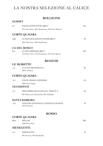### **LA NOSTRA SELEZIONE AL CALICE**

#### **BOLLICINE**

**GOSSET**

### **S.A EXCELLENCE EXTRA BRUT 15€** 45% Pinot Nero, 36% Chardonnay, 10% Pinot Meunier **CORTE QUAIARA** 2008 CUVÉE SACCOMANI VENERI BRUT 9€ 60% Pinot Nero, 40% Chardonnay **CA DEL BOSCO** S.A CUVÉE PRESTIGE BRUT 10€ 15% Pinot Nero, 75% Chardonnay, 10% Pinot Bianco **BIANCHI LE MORETTE** A.C LUGANA BENEDICTUS 5€ 100% Turbiana **CORTE QUAIARA** A.C PINOT GRIGIO AMPHORA 6€ 100% Pinot Grigio **OCCHIPINTI** A.C SP68 TERRE SICILIANE IGT "TRIPLE A" 6€ 60% Moscato di Alessandria, 40% Alnabello **SANTA BARBARA** A.C STEFANO ANTONUCCI ANIMALE CELESTE 5€ 100% Sauvignon **ROSSO CORTE QUAIARA 2016** PINUÀR 10€ 100% Pinot Nero **MENEGOTTI**

A.C. BARDOLINO 4€

60% Corvina, 40% Rondinella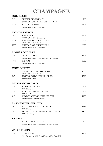## **CHAMPAGNE**

|               | <b>BOLLINGER</b>                                  |                 |
|---------------|---------------------------------------------------|-----------------|
| S.A.          | <b>SPECIAL CUVÈE BRUT</b>                         | 95 $\epsilon$   |
|               | 60% Pinot Nero, 25% Chardonnay, 15% Pinot Meunier |                 |
| 2004          | R.D. EXTRA BRUT                                   | 350€            |
|               | 66% Pinot Nero, 34% Chardonnay                    |                 |
|               | <b>DOM PÉRIGNON</b>                               |                 |
| 2012          | VINTAGE 2012                                      | 270€            |
|               | 46% Pinot Nero, 54%, Chardonnay                   |                 |
| 2002          | VINTAGE 2002 PLÉNITUDE 2                          | 660E            |
|               | 50% Pinot Nero, 50% Chardonnay                    |                 |
| 2003          | VINTAGE 2003 PLÉNITUDE 2                          | 660€            |
|               | 50% Pinot Nero, 50% Chardonnay                    |                 |
|               | <b>LOUIS ROEDERER</b>                             |                 |
| S.A.          | <b>COLLECTION 242</b>                             | 110E            |
|               | 36% Pinot Nero, 42% Chardonnay, 22% Pinot Meunier |                 |
| 2012          | <b>CRISTAL</b>                                    | 350€            |
|               | 60% Pinot Nero, 40% Chardonnay                    |                 |
|               | <b>EGLY OURIET</b>                                |                 |
| S.A.          | <b>GRAND CRU TRADITION BRUT</b>                   | 150€            |
|               | 70% Pinot Nero, 30% Chardonnay                    |                 |
| S.A.          | LES VIGNES DE VRIGNE 1ER CRU                      | 135E            |
|               | 100% Pinot Meunier                                |                 |
|               | PIERRE GOBILLARD                                  |                 |
| S.A           | RÉSERVE 1ER CRU                                   | 90 $\epsilon$   |
|               | 100% Chardonnay                                   |                 |
| S.A           | <b>BLANC DE NOIRS 1ER CRU</b>                     | 90 <sup>2</sup> |
|               | 100% Pinot Nero<br>CUVEÈ PRESTIGE BRUT 1ER CRU    |                 |
| S.A           | 70% Chardonnay, 30% Pinot Nero                    | 110E            |
|               | <b>LARMANDIER-BERNIER</b>                         |                 |
| S.A           | LATITUDE BLANC DE BLANCS                          | 125E            |
|               | 100% Chardonnay                                   |                 |
| S.A           | LONGITUDE BLANC DE BLANCS 1ER CRU                 | 145E            |
|               | 100% Chardonnay                                   |                 |
| <b>GOSSET</b> |                                                   |                 |
| S.A           | <b>EXCELLENCE EXTRA BRUT</b>                      | 756             |
|               | 45% Pinot Nero, 36% Chardonnay, 10% Pinot Meunier |                 |
|               | <b>JACQUESSON</b>                                 |                 |
| S.A           | CUVÉE Nº 745                                      | 140€            |

| 61% Chardonnay, 21% Pinot Meunier, 18% Pinot Noir |  |
|---------------------------------------------------|--|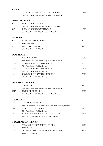| <b>COSSY</b>   |                                                                 |      |  |
|----------------|-----------------------------------------------------------------|------|--|
| S.A.           | CUVÉE ORIGINE IER CRU EXTRA BRUT                                | 85E  |  |
|                | 35% Pinot Nero, 25% Chardonnay, 40% Pinot Meunier               |      |  |
|                | PHILIPPONNAT                                                    |      |  |
| S.A            | ROYALE RESERVE BRUT                                             | 85€  |  |
|                | 65% Pinot Nero, 30% Chardonnay, 5% Pinot Meunier                |      |  |
| S.A            | ROYALE RESERVE NON DOSÈ                                         | 85E  |  |
|                | 65% Pinot Nero, 30% Chardonnay, 5% Pinot Meunier                |      |  |
| <b>FLEURY</b>  |                                                                 |      |  |
| S.A            | <b>BLANC DE NOIRS BRUT</b>                                      | 100E |  |
|                | 100% Pinot Nero                                                 |      |  |
| S.A            | <b>FLEUR DE L'EUROPE</b>                                        | 115E |  |
|                | 85% Pinot Nero, 15% Chardonnay                                  |      |  |
|                | <b>POL ROGER</b>                                                |      |  |
| S.A            | RÉSERVE BRUT                                                    | 87€  |  |
|                | 33% Pinot Nero, 33% Chardonnay, 33% Pinot Meunier               |      |  |
| 2008           | CUVÈE SIR WINSTON CHURCHILL                                     | 480€ |  |
|                | 70% Pinot Nero, 30% Chardonnay                                  |      |  |
| 2009           | CUVÈE SIR WINSTON CHURCHILL                                     | 470E |  |
|                | 70% Pinot Nero, 30% Chardonnay                                  |      |  |
| 2012           | CUVÈE SIR WINSTON CHURCHILL                                     | 380€ |  |
|                | 70% Pinot Nero, 30% Chardonnay                                  |      |  |
|                | <b>PERRIER - JOUET</b>                                          |      |  |
| S.A            | <b>GRAND BRUT</b>                                               | 110E |  |
|                | 40% Pinot Nero, 20% Chardonnay, 40% Pinot Meunier               |      |  |
| 2013           | LE BELLE EPOQUE                                                 | 260€ |  |
|                | 45% Pinot Nero, 50% Chardonnay, 5% Pinot Meunier                |      |  |
| <b>TARLANT</b> |                                                                 |      |  |
| S.A            | <b>ZERO BRUT NATURE</b>                                         | 95E  |  |
|                | 32% Chardonnay, 32% Meunier, 32% Pinot Nero, 4% vitigni antichi |      |  |
| S.A            | <b>CUVVÉE LOUIS TARLANT</b>                                     | 210E |  |
|                | 50% Pinot Nero, 50% Chardonnay                                  |      |  |
| S.A            | BAM BLANC DE BLANCS BRUT NATURE                                 | 270€ |  |
|                | 25% Pinot Blanc, 25% Arbanne, 50% Petit Meslier                 |      |  |
|                | <b>NICOLAS MAILLART</b>                                         |      |  |
| 2012           | "FRANC DE PIED" ECUEL 1ER CRU                                   | 240E |  |
|                | 100% Pinot Nero                                                 |      |  |
| $2017\,$       | "MONT MARTIN" VILLERS ALLERAND IER CRU                          | 140E |  |
|                | 100% Pinot Meunier                                              |      |  |
|                |                                                                 |      |  |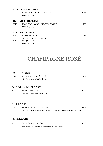#### **VALENTIN LEFLAIVE**

| S.A  | EXTRA BRUT BLANC DE BLANCS<br>100 % Chardonnay | 105€          |
|------|------------------------------------------------|---------------|
|      | <b>BERNARD BRÉMONT</b>                         |               |
| 2012 | BLANC DE NOIRS MILLÉSIME BRUT                  | 90€           |
|      | 100% Pinot nero                                |               |
|      | PERTOIS MORISET                                |               |
| S.A. | L'ASSEMBLAGE                                   | 75€           |
|      | 50% Pinot nero, 50% Chardonnay                 |               |
| S.A. | <b>LES QUATRE</b>                              | 90 $\epsilon$ |
|      | 100% Chardonnay                                |               |

## **CHAMPAGNE ROSÉ**

#### **BOLLINGER**

| 2012 | LA GRANDE ANNÉ ROSÉ            | 3206 |
|------|--------------------------------|------|
|      | 65% Pinot Nero, 35% Chardonnay |      |

#### **NICOLAS MAILLART**

| S.A | ROSÉ GRAND CRU                 | 105€ |
|-----|--------------------------------|------|
|     | 60% Pinot Nero, 40% Chardonnay |      |

#### **TARLANT**

| -S.A | ROSÉ ZERO BRUT NATURE                                                           | 130 <sub>f</sub> |
|------|---------------------------------------------------------------------------------|------------------|
|      | 36% Pinot Nero, 50% Chardonnay, vinificato in rosso: 8% Pinot nero e 6% Meunier |                  |

#### **BILLECART**

| S.A | SALMON BRUT ROSÉ                                   | 160€ |
|-----|----------------------------------------------------|------|
|     | 30% Pinot Nero, 30% Pinot Meunier e 40% Chardonnay |      |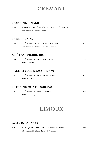## **CRÉMANT**

#### **DOMAINE BINNER**

| 2013 | KB CRÉMANT D'ALSACE EXTRA BRUT "TRIPLE A"     | 65E |
|------|-----------------------------------------------|-----|
|      | 75% Auxerrois, 25% Pinot Bianco               |     |
|      |                                               |     |
|      | <b>DIRLER-CADÉ</b>                            |     |
| 2016 | CRÉMANT D'ALSACE MILLESIME BRUT               | 456 |
|      | 25% Auxerrois, 30% Pinot Nero, 45% Pinot Gris |     |
|      |                                               |     |
|      | <b>CHÂTEAU PIERRE-BISE</b>                    |     |
| 2018 | CRÉMANT DE LOIRE NON DOSÉ                     | 36E |
|      | 100% Chenin Blanc                             |     |
|      |                                               |     |
|      | PAUL ET MARIE JACQUESON                       |     |
| S.A  | CRÉMANT DE BOURGOGNE BRUT                     | 456 |
|      | 100% Pinot Nero                               |     |
|      |                                               |     |
|      | <b>DOMAINE MONTBOURGEAU</b>                   |     |
| S.A  | CRÉMANT DU JURA NON DOSÉ                      | 45€ |
|      | 100% Chardonnay                               |     |
|      |                                               |     |

### **LIMOUX**

#### **MAISON SALAZAR**

| -S.A | BLANQUETTE DE LIMOUX PREMIUM BRUT          | 35€ |
|------|--------------------------------------------|-----|
|      | 90% Mauzac, 5% Chenin Blanc, 5% Chardonnay |     |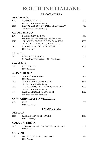## **BOLLICINE ITALIANE**

#### FRANCIACORTA

#### **BELLAVISTA**

| S.A            | NON DOSATO ALMA                                                                                     | 60 <sub>f</sub>  |
|----------------|-----------------------------------------------------------------------------------------------------|------------------|
|                | 10% Pinot Nero, 90% Chardonnay                                                                      |                  |
| 2015           | BRUT MILLESIMATO "TEATRO DELLA SCALA"<br>25% Pinot Nero, 75% Chardonnay                             | 75€              |
|                |                                                                                                     |                  |
|                | <b>CA DEL BOSCO</b>                                                                                 |                  |
| S.A            | <b>CUVÉE PRESTIGE BRUT</b>                                                                          | 48€              |
| 2010           | 15% Pinot Nero, 75% Chardonnay, 10% Pinot Bianco<br>ANNAMARIA CLEMENTI DOSAGGIO ZERO                | 1706             |
| 2011           | 20% Pinot Nero, 55% Chardonnay, 25% Pinot Bianco<br>ZERÓ NOIR VINTAGE COLLECTION<br>100% Pinot Nero | 1506             |
| <b>FACCOLI</b> |                                                                                                     |                  |
|                |                                                                                                     |                  |
| 2015           | <b>EXTRA BRUT ZEROTRE</b><br>5% Pinot Nero, 65% Chardonnay, 30% Pinot Bianco                        | 70 <sub>f</sub>  |
|                |                                                                                                     |                  |
|                | <b>CAVALLERI</b>                                                                                    |                  |
| S.A            | <b>BRUT NATURE</b>                                                                                  | 45€              |
|                | 100% Chardonnay                                                                                     |                  |
|                | <b>MONTE ROSSA</b>                                                                                  |                  |
| S.A            | SANSEVÉ SATÈN BRUT<br>100% Chardonnay                                                               | 46€              |
| S.A            | CABOCHON FUORISERIE Nº 022                                                                          | 1106             |
|                | 30% Pinot Nero, 70% Chardonnay                                                                      |                  |
| 2014           | CABOCHON DOPPIOZERO BRUT NATURE                                                                     | 150 <sub>6</sub> |
| 2014           | 30% Pinot Nero, 70% Chardonnay<br>CABOCHON MILLESIMATO BRUT                                         | 160 <sub>6</sub> |
|                | 30% Pinot Nero, 70% Chardonnay                                                                      |                  |
|                | COSTARIPA MATTIA VEZZOLA                                                                            |                  |
|                |                                                                                                     |                  |
| S.A            | <b>BRUT</b><br>100% Chardonnay                                                                      | 38€              |
|                |                                                                                                     |                  |
|                | LOMBARDIA                                                                                           |                  |
| <b>PENDIO</b>  |                                                                                                     |                  |
| 2006           | LA SELOSSATA BRUT NATURE<br>100% Chardonnay                                                         | 1406             |
|                | <b>CASA CATERINA</b>                                                                                |                  |
| 2015           | CUVÉE 60 BLANC DE BLANCS BRUT NATURE<br>100% Chardonnay                                             | 50 <sub>f</sub>  |
| <b>OLIVINI</b> |                                                                                                     |                  |
| S.A            | DICIANNOVE MARZO PAS DOSÉ                                                                           | 45€              |
|                | 100% Turbiana                                                                                       |                  |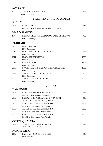#### **MORATTI**

| S.A. | <b>CUVÈE 'MORE PAS DOSÉ</b><br>100% Pinot Nero                      | 366              |
|------|---------------------------------------------------------------------|------------------|
|      | <b>TRENTINO - ALTO ADIGE</b>                                        |                  |
|      | <b>KETTMEIR</b>                                                     |                  |
| 2018 | <b>ATHESIS BRUT</b>                                                 | 426              |
|      | 10% Pinot Nero, 60% Chardonnay, 30% Pinot Bianco                    |                  |
|      | <b>MASO MARTIS</b>                                                  |                  |
| S.A  | RISERVA BRUT MILLESIMATO BLANC DE BLANCS<br>100% Chardonnay         | 406              |
|      | FERRARI                                                             |                  |
| 2016 | FERRARI PERLÉ                                                       | 556              |
|      | 100% Chardonnay                                                     |                  |
| 2012 | FERRARI PERLÉ BIANCO RISERVA                                        | 656              |
|      | 100% Chardonnay                                                     |                  |
| 2011 | FERRARI PERLÉ NERO                                                  | 1306             |
| 2012 | 100% Pinot Nero<br>RISERVA LUNELLI                                  | 1106             |
|      | 100% Chardonnay                                                     |                  |
| 2009 | GIULIO FERRARI RISERVA DEL FONDATORE                                | 160 <sub>6</sub> |
|      | 100% Chardonnay                                                     |                  |
| 1997 | <b>GIULIO FERRARI COLLEZIONE</b>                                    | 580€             |
|      | 100% Chardonnay                                                     |                  |
| 1996 | GIULIO FERRARI COLLEZIONE                                           | 4506             |
|      | 100% Chardonnay                                                     |                  |
|      | VENETO                                                              |                  |
|      | <b>ZAMUNER</b>                                                      |                  |
| 2011 | BLANC DE NOIRS BRUT MILLESIMATO                                     | 45€              |
|      | 70% Pinot Nero, 30% Pinot Meunier                                   |                  |
| 2009 | RISERVA DEL FONDATORE EXTRA BRUT                                    | 556              |
|      | 70% Pinot Nero, 10% Chardonnay, 20% Pinot Meunier                   |                  |
| 1990 | ZAMUNER DANIELE EXTRA BRUT                                          | 450 <sub>0</sub> |
|      | Pinot Nero, Chardonnay, Pinot Meunier                               |                  |
| 1985 | ZAMUNER DANIELE EXTRA BRUT<br>Pinot Nero, Chardonnay, Pinot Meunier | 5206             |
| 1998 | ZAMUNER DANIELE EXTRA BRUT                                          | 4206             |
|      | Pinot Nero, Chardonnay, Pinot Meunier                               |                  |
|      | <b>CORTE QUAIARA</b>                                                |                  |
| 2008 | CUVÉE SACCOMANI VENERI BRUT                                         | 556              |
|      | 60% Pinot Nero, 40% Chardonnay                                      |                  |
|      | <b>FASOLI GINO</b>                                                  |                  |
| 2012 | CREAMAN BIANCO PAS DOSÉ                                             | 45€              |
|      | 100% Garganega                                                      |                  |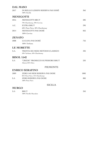#### **DAL MASO**

100% Nerello Mascalese

| 2017          | DURELLO LESSINI RISERVA PAS DOSÈ                                | 366             |
|---------------|-----------------------------------------------------------------|-----------------|
|               | 100% Durella                                                    |                 |
|               | <b>MENEGOTTI</b>                                                |                 |
| 2016          | <b>MENEGOTTI BRUT</b>                                           | 286             |
|               | 70% Chardonnay, 30% Corvina                                     |                 |
| A.C.          | <b>EXTRA BRUT</b>                                               | 296             |
|               | 60% Pinot Nero, 40% Chardonnay                                  |                 |
| 2014          | MENEGOTTI PAS DOSÉ                                              | 85E             |
|               | 100% Corvina                                                    |                 |
| <b>ZENATO</b> |                                                                 |                 |
| 2008          | LUGANA PAS DOSÉ                                                 | 75E             |
|               | 100% Turbiana                                                   |                 |
|               | <b>LE MORETTE</b>                                               |                 |
| S.A.          | TRENTA SEI MESI METODO CLASSICO<br>50% Turbiana, 50% Chardonnay | 336             |
|               | <b>BISOL</b> 1542                                               |                 |
| S.A           | "CREDE" PROSECCO SUPERIORE BRUT<br>Almeno 85% Glera             | $22\varepsilon$ |
|               | <b>PIEMONTE</b>                                                 |                 |
|               | <b>ENRICO SERAFINO</b>                                          |                 |
| 2009          | ZERO 140 MESI RISERVA PAS DOSE                                  | 180€            |
|               | 85% Pinot Nero, 15% Chardonnay                                  |                 |
| S.A           | ZERO RISERVA PAS DOSE<br>100% Pinot Nero                        | 80€             |
|               | <b>SICILIA</b>                                                  |                 |
| <b>MURGO</b>  |                                                                 |                 |
| S.A           | <b>BRUT</b>                                                     | 35€             |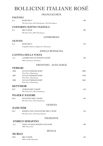## **BOLLICINE ITALIANE ROSÉ**

FRANCIACORTA

| <b>FACCOLI</b> |                                                                      |                  |
|----------------|----------------------------------------------------------------------|------------------|
| S.A            | <b>ROSÉ BRUT</b>                                                     | 48€              |
|                | 70% Pinot Nero, 20% Chardonnay, 10% Pinot Bianco                     |                  |
|                | COSTARIPA MATTIA VEZZOLA                                             |                  |
| S.A            | <b>BRUT ROSÉ</b>                                                     | 38€              |
|                | 20% Pinot Nero, 80% Chardonnay                                       |                  |
|                | <b>LOMBARDIA</b>                                                     |                  |
| <b>OLIVINI</b> |                                                                      |                  |
| S.A            | <b>ROSÉ BRUT</b>                                                     | 27€              |
|                | Groppello, Barbera, Sangiovese, Marzemino                            |                  |
|                | <b>EMILIA ROMAGNA</b>                                                |                  |
|                | <b>CANTINA DELLA VOLTA</b>                                           |                  |
| S.A            | LAMBRUSCO DI MODENA ROSÉ                                             | 48£              |
|                | 100% Lambrusco di Sorbara                                            |                  |
|                | TRENTINO - ALTO ADIGE                                                |                  |
| <b>FERRARI</b> |                                                                      |                  |
| 2006           | <b>GIULIO FERRARI ROSÉ</b>                                           | 380€             |
| 2007           | Pinot Nero, Chardonnay<br><b>GIULIO FERRARI ROSÉ</b>                 | 370 <sub>f</sub> |
|                | Pinot Nero, Chardonnay                                               |                  |
| 2008           | <b>GIULIO FERRARI ROSÉ</b>                                           | 360 <sub>6</sub> |
|                | Pinot Nero, Chardonnay                                               |                  |
|                | <b>KETTMEIR</b>                                                      |                  |
| 2017           | <b>ATHESIS BRUT ROSÉ</b><br>50% Pinot Nero, 50% Chardonnay           | 46€              |
|                | <b>POJER E SANDRI</b>                                                |                  |
| 2015           | <b>DOLOMITI BRUT ROSÉ</b>                                            | 42€              |
|                | 50% Pinot Nero, 50% Chardonnay                                       |                  |
|                | <b>VENETO</b>                                                        |                  |
|                | <b>ZAMUNER</b>                                                       |                  |
| 2011           | RISERVA DEL FONDATORE BRUT ROSÉ<br>90% Pinot Nero, 10% Pinot Meunier | 55€              |
|                | PIEMONTE                                                             |                  |
|                | <b>ENRICO SERAFINO</b>                                               |                  |
| S.A            | ZERO 140 MESI RISERVA PAS DOSE<br>100% Pinot Nero                    | 48£              |
|                | <b>SICILIA</b>                                                       |                  |
| <b>MURGO</b>   |                                                                      |                  |

2018 BRUT ROSÉ 42€ 100% Nerello Mascalese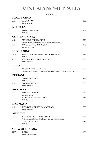## **VINI BIANCHI ITALIA**

VENETO

| <b>MONTE CIMO</b> |                                                                                                 |                 |
|-------------------|-------------------------------------------------------------------------------------------------|-----------------|
| A.C.              | <b>SAUVIGNON</b><br>100% Sauvignon                                                              | 30 <sup>2</sup> |
|                   | <b>MUSELLA</b>                                                                                  |                 |
| A.C               | DRAGO BIANCO<br>100% Garganega                                                                  | $27\epsilon$    |
|                   | <b>CORTE QUAIARA</b>                                                                            |                 |
| A.C               | <b>MONTE DELLE SAETTE</b><br>70% Pinot Grigio, 25% Goldtraminer, 5% Bianca Fernanda             | 236             |
| A.C               | PINOT GRIGIO AMPHORA<br>100% Pinot Grigio                                                       | 30€             |
|                   | <b>FASOLI GINO</b>                                                                              |                 |
| 2017              | PIAVE VECCHIA BIANCO VERONESE IGT<br>100% Garganega                                             | 33€             |
| A.C               | LIBER BIANCO VERONESE IGT<br>100% Garganega                                                     | 28E             |
| ZYMÉ              |                                                                                                 |                 |
| A.C               | FROM BLACK TO WHITE<br>60% Rondinella Bianca, 15% Goldtraminer, 15% Kerner 10% Incrocio Manzoni | 25E             |
| <b>BERTANI</b>    |                                                                                                 |                 |
| A.C               | <b>SOAVE SEREOLE</b><br>100% Garganega                                                          | 236             |
| A.C               | <b>SOAVE VINTAGE</b><br>100% Garganega                                                          | 20E             |
|                   | <b>PIEROPAN</b>                                                                                 |                 |
| A.C               | <b>SOAVE CLASSICO</b><br>100% Garganega                                                         | 226             |
| A.C               | LA ROCCA CLASSICO BIO<br>100% Garganega                                                         | 45€             |
|                   | <b>DAL MASO</b>                                                                                 |                 |
| A.C               | RIVA DEL MOLINO GAMBELLARA<br>100% Garganega                                                    | 20E             |
|                   | <b>ANSELMI</b>                                                                                  |                 |
| A.C               | SAN VINCENZO BIANCO VENETO IGT<br>70% Garganega, 30% tra Chardonnay/ Sauvignon/ Goldtraminer    | 26E             |
| A.C               | <b>CAPITEL CROCE</b><br>100% Garganega                                                          | 38€             |
|                   | <b>ORTO DI VENEZIA</b>                                                                          |                 |

| 2017 | ORTO                   | 48€ |
|------|------------------------|-----|
|      | 100% Malvasia Istriana |     |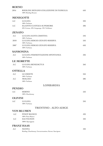#### **ROENO**

| 2016           | RIESLING RENANO COLLEZIONE DI FAMIGLIA<br>100% Riesling Renano | 65E |
|----------------|----------------------------------------------------------------|-----|
|                | <b>MENEGOTTI</b>                                               |     |
| A.C            | <b>LUGANA</b>                                                  | 226 |
| A.C            | 100% Turbiana<br>ELIANTO CUSTOZA SUPERIORE                     | 20E |
|                | 50% Cortese, 40% Garganega, 10% Trebbiano                      |     |
| <b>ZENATO</b>  |                                                                |     |
| A.C            | LUGANA SANTA CRISTINA                                          | 246 |
| 2018           | 100% Turbiana<br>LUGANA SERGIO ZENATO RISERVA                  | 556 |
|                | 100% Turbiana.                                                 |     |
| 2007           | LUGANA SERGIO ZENATO RISERVA<br>100% Turbiana                  | 65E |
|                | <b>SANSONINA</b>                                               |     |
| A.C            | LUGANA FERMENTAZIONE SPONTANEA<br>100% Turbiana                | 33€ |
|                | <b>LE MORETTE</b>                                              |     |
| A.C            | LUGANA BENEDICTUS                                              | 26E |
|                | 100% Turbiana                                                  |     |
| <b>OTTELLA</b> |                                                                |     |
| A.C            | LE CREETE                                                      | 256 |
| A.C            | 100% Turbiana<br><b>MOLCEO</b>                                 | 286 |
|                | 100% Turbiana                                                  |     |
|                | LOMBARDIA                                                      |     |
| <b>PENDIO</b>  |                                                                |     |
| A.C            | <b>SEBINO</b><br>100% Chardonnay                               | 556 |
|                |                                                                |     |
| <b>OLIVINI</b> |                                                                |     |
| A.C            | <b>LUGANA</b><br>100% Turbiana                                 | 25E |
|                | <b>TRENTINO - ALTO ADIGE</b>                                   |     |
|                | <b>VON BLUMEN</b>                                              |     |
| A.C            | PINOT BIANCO                                                   | 42E |
| A.C            | 100% Pinot Bianco<br><b>SAUVIGNON</b>                          | 426 |
|                | 100% Sauvignon                                                 |     |
|                | <b>FRANZ HAAS</b>                                              |     |
| A.C            | <b>MANNA</b>                                                   | 42E |
|                | Riesling, Chardonnay, Gewurztraminer, Kerner, Sauvignon        |     |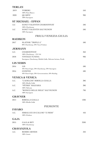#### **TERLAN**

| 2019           | <b>VOBERG</b>                                                        | 556             |
|----------------|----------------------------------------------------------------------|-----------------|
| 2020           | 100% Pinot Bianco<br><b>QUARTZ</b>                                   | 90€             |
|                | 100% Sauvignon                                                       |                 |
|                | <b>ST MICHAEL - EPPAN</b>                                            |                 |
| A.C            | SANCT VALENTIN CHARDONNAY                                            | 50E             |
| A.C            | 100% Chardonnay<br>SANCT VALENTIN SAUVIGNON                          | 50€             |
|                | 100% Sauvignon                                                       |                 |
|                | FRIULI VENEZIA GIULIA                                                |                 |
| <b>RADIKON</b> |                                                                      |                 |
| 2017           | SLATNIK "TRIPLE A"                                                   | 50E             |
|                | 80% Chardonnay, 20% Tocai Friulano                                   |                 |
|                | <b>JERMANN</b>                                                       |                 |
| A.C.           | <b>CHARDONNAY</b>                                                    | 366             |
| 2018           | 100% Chardonnay - 13% Vol.<br><b>VINTAGE TUNINA</b>                  | 90 <sup>2</sup> |
|                | Sauvignon, Chardonnay, Ribolla Gialla, Malvasia Istriana, Picolit    |                 |
|                | <b>LIS NERIS</b>                                                     |                 |
| 2016           | LIS                                                                  | 586             |
|                | 40% Pinot Grigio, 30% Chardonnay, 30% Sauvignon                      |                 |
| 2016           | <b>CONFINI</b><br>40% Pinot Grigio, 30% Gewurztraminer, 20% Riesling | 58€             |
|                | <b>VENICA &amp; VENICA</b>                                           |                 |
| A.C.           | "L'ADELCHI" RIBOLLA GIALLA                                           | 38€             |
|                | 100% Ribolla Gialla                                                  |                 |
| A.C.           | "PÈTRIS" MALVASIA<br>100% Malvasia                                   | 386             |
| A.C.           | "RONCO DELLE MELE" SAUVIGNON                                         | 70€             |
|                | 100% Sauvignon                                                       |                 |
|                | <b>GRAVNER</b>                                                       |                 |
| 2014           | RIBOLLA GIALLA                                                       | 1306            |
|                | 100% Ribolla Gialla                                                  |                 |
|                | <b>PIEMONTE</b>                                                      |                 |
| <b>FAVARO</b>  |                                                                      |                 |
| A.C.           | ERBALUCE DI CALUSO "13 MESI"<br>100% Erbaluce                        | 45€             |
| <b>GAJA</b>    |                                                                      |                 |
| 2015           | <b>GAJA &amp; REY</b>                                                | 3206            |
|                | 100% Chardonnay                                                      |                 |
|                | <b>CRAVANZOLA</b>                                                    |                 |
| A.C.           | <b>ROERO ARNEIS</b>                                                  | 326             |
|                | 100% Arneis                                                          |                 |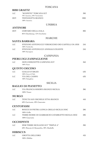#### **BIBI GRAETZ**

| A.C  | "SCOPETO" TOSCANA IGT         | 30E  |
|------|-------------------------------|------|
|      | 70% Ansonica, 30% Vermentino  |      |
| 2019 | TESTAMATTA BIANCO             | 180E |
|      | 100% Ansonica                 |      |
|      | <b>UMBRIA</b>                 |      |
|      | <b>ANTINORI</b>               |      |
| 2019 | CERVARO DELLA SALA            | 80E  |
|      | 85% Chardonnay, 15% Grechetto |      |
|      | 1 I A D OI I D                |      |

#### MARCHE

#### **SANTA BARBARA**

| A.C               | STEFANO ANTONUCCI VERDICCHIO DEI CASTELLI DI JESI<br>100% Verdicchio             | $25\epsilon$    |
|-------------------|----------------------------------------------------------------------------------|-----------------|
| A.C               | STEFANO ANTONUCCI ANIMALE CELESTE<br>100% Sauvignon                              | $25\epsilon$    |
|                   | <b>CAMPANIA</b>                                                                  |                 |
|                   | PIERLUIGI ZAMPAGLIONE                                                            |                 |
| A.C               | DON CHISCIOTTE CAMPANIA IGT<br>$100\%$ Fiano                                     | 36€             |
|                   | <b>QUINTO DECIMO</b>                                                             |                 |
| A.C               | <b>GIALLO D'ARLES</b><br>100% Greco di Tufo                                      | 636             |
| A.C               | VIA DEL CAMPO<br>100% Falanghina                                                 | 636             |
|                   | <b>SICILIA</b>                                                                   |                 |
|                   | <b>BAGLIO DI PIANETTO</b>                                                        |                 |
| A.C               | VIA FRANCIA RISERVA BIANCO SICILIA<br>100% Vioner                                | 38€             |
| <b>MURGO</b>      |                                                                                  |                 |
| A.C               | TENUTA SAN MICHELE ETNA BIANCO<br>60% Carricante, 40% Catarratto                 | 456             |
|                   | <b>CENTOPASSI</b>                                                                |                 |
| A.C               | ROCCE DI PIETRA LONGA GRILLO SICILIA DOC<br>100% Grillo                          | 286             |
| A.C               | TERRE ROSSE DI GIABBASCIO CATARRATTO SICILIA DOC<br>100% Catarratto              | 286             |
| <b>OCCHIPINTI</b> |                                                                                  |                 |
| A.C               | SP68 TERRE SICILIANE IGT "TRIPLE A"<br>60% Moscato di Alessandria, 40% Alnabello | 30 <sub>f</sub> |
| <b>HIBISCUS</b>   |                                                                                  |                 |
| A.C               | <b>GROTTA DELL'ORO</b><br>100% Zibibbo                                           | 42€             |
|                   |                                                                                  |                 |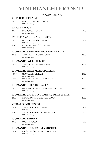### **VINI BIANCHI FRANCIA**

BOURGOGNE

| <b>OLIVIER LEFLAIVE</b>          |                                                                    |                 |  |
|----------------------------------|--------------------------------------------------------------------|-----------------|--|
| 2019                             | LES SETILLES BOURGOGNE<br>100% Chardonnay                          | 60E             |  |
|                                  | <b>LOUIS JADOT</b>                                                 |                 |  |
| 2019                             | <b>BOURGOGNE BLANC</b><br>100% Chardonnay                          | 45E             |  |
|                                  | PAUL ET MARIE JACQUESON                                            |                 |  |
| 2020                             | <b>BOURGOGNE SÉLECTION</b>                                         | 50E             |  |
| 2019                             | 100% Chardonnay<br>RULLY 1ER CRU "LA PUCELLE"<br>100% Chardonnay   | 75€             |  |
|                                  | DOMANIE BERNARD MOREAU ET FILS                                     |                 |  |
| 2018                             | CHASSAGNE - MONTRACHET<br>100% Chardonnay                          | 130E            |  |
|                                  | <b>DOMANIE PAUL PILLOT</b>                                         |                 |  |
| 2018                             | CHASSAGNE - MONTRACHET<br>100% Chardonnay                          | 130E            |  |
| <b>DOMANIE JEAN MARC BOILLOT</b> |                                                                    |                 |  |
| 2019                             | MEURSAULT VILLAGE                                                  | 140E            |  |
| 2019                             | 100% Chardonnay<br>PULIGNY - MONTRACHET VILLAGE<br>100% Chardonnay | 150E            |  |
|                                  | <b>DOMANIE BERTHELEMOT</b>                                         |                 |  |
| 2018                             | PULIGNY - MONTRACHET "LES LEVRONS"<br>100% Chardonnay              | 115E            |  |
|                                  | <b>DOMANIE CRISTIAN MOREAU PERE &amp; FILS</b>                     |                 |  |
| 2019                             | <b>CHABLIS GRAND CRU "LES CLOS"</b><br>100% Chardonnay             | 150E            |  |
|                                  | <b>GERARD DUPLESSIS</b>                                            |                 |  |
| 2019                             | <b>CHABLIS 1ER CRU "VAILLON"</b>                                   | 80E             |  |
| 2019                             | 100% Chardonnay<br>CHABLIS 1ER CRU "MONTAMAINS"<br>100% Chardonnay | 80€             |  |
|                                  | <b>DOMANIE FERRET</b>                                              |                 |  |
| 2018                             | POULLY FUISSÉ<br>100% Chardonnay                                   | 80E             |  |
|                                  | <b>DOMANIE GUILLEMOT - MICHEL</b>                                  |                 |  |
| 2017                             | VIRÉ-CLASÉ QUINTAINE "TRIPLE A"<br>100% Chardonnay                 | 62 <sup>2</sup> |  |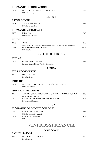#### **DOMANIE PIERRE MOREY**

| 2019 | BOURGOGNE ALIGOTÉ "TRIPLE A" | 35€ |
|------|------------------------------|-----|
|      | 100% Chardonnay              |     |

ALSACE

#### **LEON BEYER**

| 2018         | <b>GEWURZTRAMINER</b><br>100% Gewurztraminer                                                 | 38€              |
|--------------|----------------------------------------------------------------------------------------------|------------------|
|              | <b>DOMANIE WEINBACH</b>                                                                      |                  |
| 2018         | <b>RIESLING</b><br>100% Riesling Renano                                                      | 54€              |
| <b>HUGEL</b> |                                                                                              |                  |
| 2018         | <b>GENTIL</b><br>45%Sylvaner, Pinot Blanc, 23%Riesling, 16%Pinot Gris, 10%Gewurzt, 6% Muscat | 35€              |
| 2011         | SCHOELHAMMER, IL RIESLING<br>100% Riesling                                                   | 310 <sub>f</sub> |
|              | $\sim$<br>$\sim$                                                                             |                  |

#### CÔTES DU RHÔNE

#### **DELAS**

| 2017 | SAINT ESPRIT BLANC                               | $25\epsilon$ |
|------|--------------------------------------------------|--------------|
|      | Grenache Blanc, Clairette, Viognier, Bourboulenc |              |

#### LOIRA

#### **DE LADOUCETTE**

| 2017          | POULLY FUMÉ<br>100% Sauvignon                                            | 60€  |
|---------------|--------------------------------------------------------------------------|------|
| <b>BRÉDIF</b> |                                                                          |      |
| 2017          | VOUVRAY VIGNE BLANCHE RESERVE PRIVÉE<br>100% Chenin Blanc                | 60€  |
|               | <b>BRUNO CORMERAIS</b>                                                   |      |
| 2017          | CHAMBAUDIÈRE MUSCADET SÈVRES ET MAINE SUR LIE<br>100% melon di Bourgogne | 32 E |
| 2010          | BRUNO MUSCADET SÈVRES ET MAINE<br>100% melon di Bourgogne                | 50€  |
|               | <b>JURA</b>                                                              |      |
|               | <b>DOMAINE DE MONTBOURGEAU</b>                                           |      |
| 2015          | L'ETOILE CUVÉE SPÉCIAL<br>95% Chardonnay, 5% Savagnin                    | 72€  |
| 2017          | L'ETOILE SAVAGNIN<br>100% Savagnin                                       | 80€  |
|               |                                                                          |      |

### **VINI ROSSI FRANCIA**

#### BOURGOGNE

#### **LOUIS JADOT**

**2020 BOURGOGNE ROUGE 48€** 100% Pinot Nero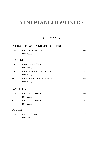### **VINI BIANCHI MONDO**

#### GERMANIA

#### **WEINGUT IMMICH-BATTERIEBERG**

| RIESLING KABINETT         | 35€ |  |
|---------------------------|-----|--|
| 100% Riesling             |     |  |
| <b>KERPEN</b>             |     |  |
| RIESLING CLASSICO         | 30€ |  |
| 100% Riesling             |     |  |
| RIESLING KABINETT TROKEN  | 32E |  |
| 100% Riesling             |     |  |
| RIESLING SPATALESE TROKEN | 45E |  |
| 100% Riesling             |     |  |
|                           |     |  |
| <b>MOLITOR</b>            |     |  |
|                           |     |  |

| 1999 | RIESLING CLASSICO | 48£ |
|------|-------------------|-----|
|      | 100% Riesling     |     |
| 2001 | RIESLING CLASSICO | 526 |
|      | 100% Riesling     |     |

#### **HAART**

| 2020 | HAART TO HEART | 35E |
|------|----------------|-----|
|      | 100% Riesling  |     |